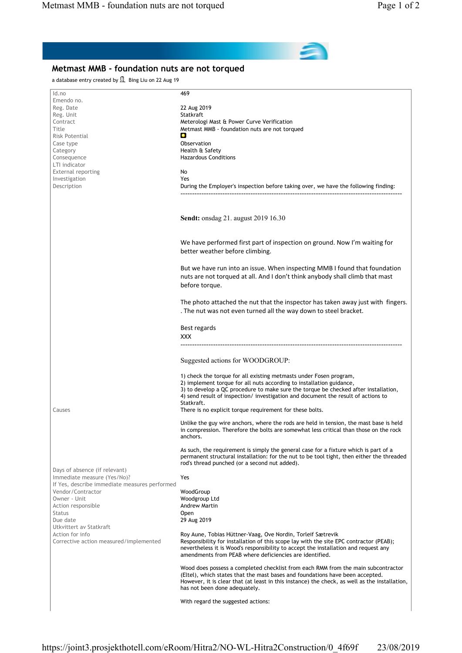## Metmast MMB - foundation nuts are not torqued a database entry created by **1** Bing Liu on 22 Aug 19 Id.no 469 Emendo no. Reg. Date 2019 22 Aug 2019<br>Reg. Unit 2018 2019 22 Aug 2019 Reg. Unit<br>Contract Contract **Contract Contract Contract Contract Contract Contract Contract Contract Contract Contract Contract Contract Contract Meterologi Mast & Power Curve Verification Title Contract Contract Contract Contract Contract C** Metmast MMB - foundation nuts are not torqued Risk Potential e Case type **Case type Case type Case type Case type Case type Case type Case type Case type C** Category **Health & Safety** Consequence **Hazardous Conditions** LTI indicator External reporting No Investigation **Yes** Description During the Employer's inspection before taking over, we have the following finding: ----------------------------------------------------------------------------------------------- Sendt: onsdag 21. august 2019 16.30 We have performed first part of inspection on ground. Now I'm waiting for better weather before climbing. But we have run into an issue. When inspecting MMB I found that foundation nuts are not torqued at all. And I don't think anybody shall climb that mast before torque. The photo attached the nut that the inspector has taken away just with fingers. . The nut was not even turned all the way down to steel bracket. Best regards XXX ----------------------------------------------------------------------------------------------- Suggested actions for WOODGROUP: 1) check the torque for all existing metmasts under Fosen program, 2) implement torque for all nuts according to installation guidance, 3) to develop a QC procedure to make sure the torque be checked after installation, 4) send result of inspection/ investigation and document the result of actions to Statkraft. Causes There is no explicit torque requirement for these bolts. Unlike the guy wire anchors, where the rods are held in tension, the mast base is held in compression. Therefore the bolts are somewhat less critical than those on the rock anchors. As such, the requirement is simply the general case for a fixture which is part of a permanent structural installation: for the nut to be tool tight, then either the threaded rod's thread punched (or a second nut added). Days of absence (if relevant) Immediate measure (Yes/No)? Yes If Yes, describe immediate measures performed Vendor/Contractor **WoodGroup**<br>
Owner - Unit **Woodgroup** Woodgroup Ltd Action responsible **Andrew Martin** Status **Open** Due date 29 Aug 2019 Utkvittert av Statkraft Action for info **Roy Aune, Tobias Hüttner-Vaag, Ove Nordin, Torleif Sætrevik** Roy Aune, Tobias Hüttner-Vaag, Ove Nordin, Torleif Sætrevik Corrective action measured/implemented Responsibility for installation of this scope lay with the site EPC contractor (PEAB); nevertheless it is Wood's responsibility to accept the installation and request any amendments from PEAB where deficiencies are identified. Wood does possess a completed checklist from each RMM from the main subcontractor (Eltel), which states that the mast bases and foundations have been accepted. However, it is clear that (at least in this instance) the check, as well as the installation, has not been done adequately. With regard the suggested actions: